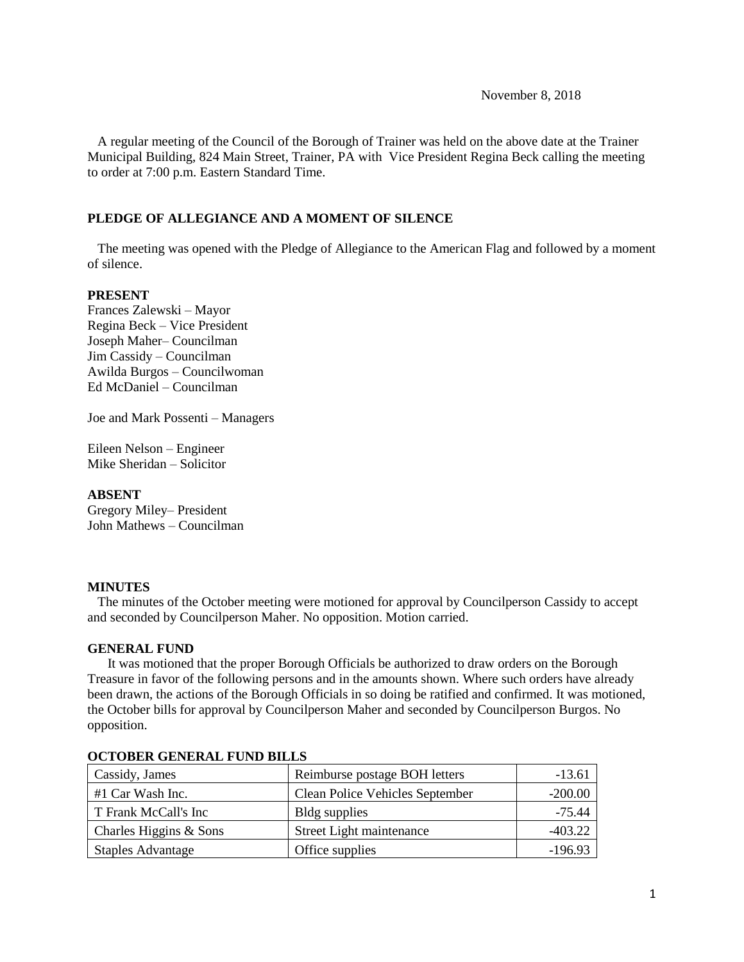November 8, 2018

 A regular meeting of the Council of the Borough of Trainer was held on the above date at the Trainer Municipal Building, 824 Main Street, Trainer, PA with Vice President Regina Beck calling the meeting to order at 7:00 p.m. Eastern Standard Time.

#### **PLEDGE OF ALLEGIANCE AND A MOMENT OF SILENCE**

 The meeting was opened with the Pledge of Allegiance to the American Flag and followed by a moment of silence.

#### **PRESENT**

Frances Zalewski – Mayor Regina Beck – Vice President Joseph Maher– Councilman Jim Cassidy – Councilman Awilda Burgos – Councilwoman Ed McDaniel – Councilman

Joe and Mark Possenti – Managers

Eileen Nelson – Engineer Mike Sheridan – Solicitor

#### **ABSENT**

Gregory Miley– President John Mathews – Councilman

#### **MINUTES**

The minutes of the October meeting were motioned for approval by Councilperson Cassidy to accept and seconded by Councilperson Maher. No opposition. Motion carried.

#### **GENERAL FUND**

 It was motioned that the proper Borough Officials be authorized to draw orders on the Borough Treasure in favor of the following persons and in the amounts shown. Where such orders have already been drawn, the actions of the Borough Officials in so doing be ratified and confirmed. It was motioned, the October bills for approval by Councilperson Maher and seconded by Councilperson Burgos. No opposition.

| Cassidy, James           | Reimburse postage BOH letters          | $-13.61$  |
|--------------------------|----------------------------------------|-----------|
| #1 Car Wash Inc.         | <b>Clean Police Vehicles September</b> | $-200.00$ |
| T Frank McCall's Inc     | Bldg supplies                          | $-75.44$  |
| Charles Higgins & Sons   | Street Light maintenance               | $-403.22$ |
| <b>Staples Advantage</b> | Office supplies                        | $-196.93$ |

#### **OCTOBER GENERAL FUND BILLS**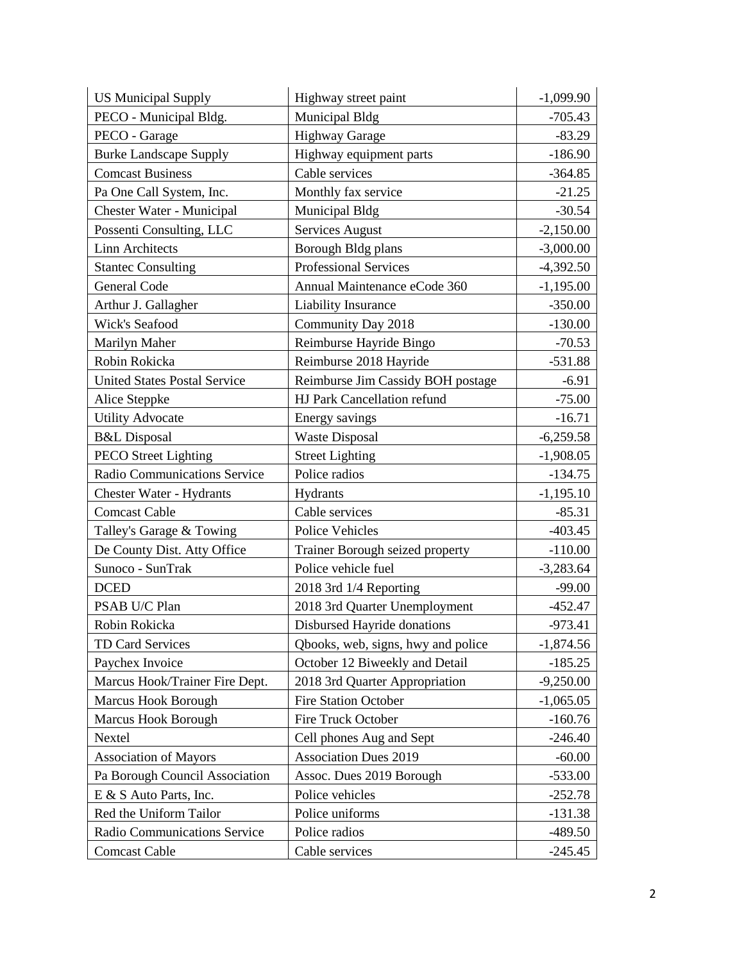| <b>US Municipal Supply</b>          | Highway street paint               | $-1,099.90$ |
|-------------------------------------|------------------------------------|-------------|
| PECO - Municipal Bldg.              | Municipal Bldg                     | $-705.43$   |
| PECO - Garage                       | <b>Highway Garage</b>              | $-83.29$    |
| <b>Burke Landscape Supply</b>       | Highway equipment parts            | $-186.90$   |
| <b>Comcast Business</b>             | Cable services                     | $-364.85$   |
| Pa One Call System, Inc.            | Monthly fax service                | $-21.25$    |
| <b>Chester Water - Municipal</b>    | Municipal Bldg                     | $-30.54$    |
| Possenti Consulting, LLC            | <b>Services August</b>             | $-2,150.00$ |
| <b>Linn Architects</b>              | Borough Bldg plans                 | $-3,000.00$ |
| <b>Stantec Consulting</b>           | Professional Services              | $-4,392.50$ |
| General Code                        | Annual Maintenance eCode 360       | $-1,195.00$ |
| Arthur J. Gallagher                 | Liability Insurance                | $-350.00$   |
| <b>Wick's Seafood</b>               | Community Day 2018                 | $-130.00$   |
| Marilyn Maher                       | Reimburse Hayride Bingo            | $-70.53$    |
| Robin Rokicka                       | Reimburse 2018 Hayride             | $-531.88$   |
| <b>United States Postal Service</b> | Reimburse Jim Cassidy BOH postage  | $-6.91$     |
| Alice Steppke                       | HJ Park Cancellation refund        | $-75.00$    |
| <b>Utility Advocate</b>             | Energy savings                     | $-16.71$    |
| <b>B&amp;L</b> Disposal             | <b>Waste Disposal</b>              | $-6,259.58$ |
| <b>PECO Street Lighting</b>         | <b>Street Lighting</b>             | $-1,908.05$ |
| Radio Communications Service        | Police radios                      | $-134.75$   |
| <b>Chester Water - Hydrants</b>     | Hydrants                           | $-1,195.10$ |
| <b>Comcast Cable</b>                | Cable services                     | $-85.31$    |
| Talley's Garage & Towing            | Police Vehicles                    | $-403.45$   |
| De County Dist. Atty Office         | Trainer Borough seized property    | $-110.00$   |
| Sunoco - SunTrak                    | Police vehicle fuel                | $-3,283.64$ |
| <b>DCED</b>                         | 2018 3rd 1/4 Reporting             | $-99.00$    |
| PSAB U/C Plan                       | 2018 3rd Quarter Unemployment      | $-452.47$   |
| Robin Rokicka                       | Disbursed Hayride donations        | $-973.41$   |
| TD Card Services                    | Qbooks, web, signs, hwy and police | $-1,874.56$ |
| Paychex Invoice                     | October 12 Biweekly and Detail     | $-185.25$   |
| Marcus Hook/Trainer Fire Dept.      | 2018 3rd Quarter Appropriation     | $-9,250.00$ |
| Marcus Hook Borough                 | <b>Fire Station October</b>        | $-1,065.05$ |
| Marcus Hook Borough                 | Fire Truck October                 | $-160.76$   |
| Nextel                              | Cell phones Aug and Sept           | $-246.40$   |
| <b>Association of Mayors</b>        | <b>Association Dues 2019</b>       | $-60.00$    |
| Pa Borough Council Association      | Assoc. Dues 2019 Borough           | $-533.00$   |
| E & S Auto Parts, Inc.              | Police vehicles                    | $-252.78$   |
| Red the Uniform Tailor              | Police uniforms                    | $-131.38$   |
| Radio Communications Service        | Police radios                      | $-489.50$   |
| <b>Comcast Cable</b>                | Cable services                     | $-245.45$   |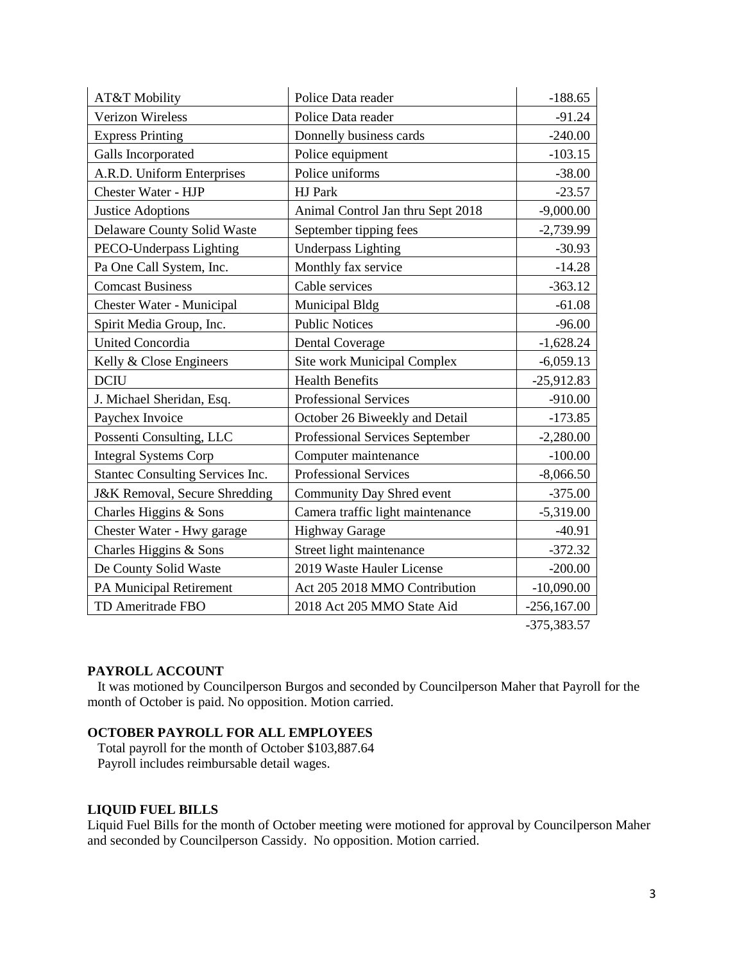| AT&T Mobility                            | Police Data reader                | $-188.65$     |
|------------------------------------------|-----------------------------------|---------------|
| <b>Verizon Wireless</b>                  | Police Data reader                | $-91.24$      |
| <b>Express Printing</b>                  | Donnelly business cards           | $-240.00$     |
| Galls Incorporated                       | Police equipment                  | $-103.15$     |
| A.R.D. Uniform Enterprises               | Police uniforms                   | $-38.00$      |
| Chester Water - HJP                      | HJ Park                           | $-23.57$      |
| <b>Justice Adoptions</b>                 | Animal Control Jan thru Sept 2018 | $-9,000.00$   |
| Delaware County Solid Waste              | September tipping fees            | $-2,739.99$   |
| PECO-Underpass Lighting                  | <b>Underpass Lighting</b>         | $-30.93$      |
| Pa One Call System, Inc.                 | Monthly fax service               | $-14.28$      |
| <b>Comcast Business</b>                  | Cable services                    | $-363.12$     |
| Chester Water - Municipal                | Municipal Bldg                    | $-61.08$      |
| Spirit Media Group, Inc.                 | <b>Public Notices</b>             | $-96.00$      |
| <b>United Concordia</b>                  | <b>Dental Coverage</b>            | $-1,628.24$   |
| Kelly & Close Engineers                  | Site work Municipal Complex       | $-6,059.13$   |
| <b>DCIU</b>                              | <b>Health Benefits</b>            | $-25,912.83$  |
| J. Michael Sheridan, Esq.                | <b>Professional Services</b>      | $-910.00$     |
| Paychex Invoice                          | October 26 Biweekly and Detail    | $-173.85$     |
| Possenti Consulting, LLC                 | Professional Services September   | $-2,280.00$   |
| <b>Integral Systems Corp</b>             | Computer maintenance              | $-100.00$     |
| Stantec Consulting Services Inc.         | <b>Professional Services</b>      | $-8,066.50$   |
| <b>J&amp;K Removal, Secure Shredding</b> | Community Day Shred event         | $-375.00$     |
| Charles Higgins & Sons                   | Camera traffic light maintenance  | $-5,319.00$   |
| Chester Water - Hwy garage               | <b>Highway Garage</b>             | $-40.91$      |
| Charles Higgins & Sons                   | Street light maintenance          | $-372.32$     |
| De County Solid Waste                    | 2019 Waste Hauler License         | $-200.00$     |
| PA Municipal Retirement                  | Act 205 2018 MMO Contribution     | $-10,090.00$  |
| TD Ameritrade FBO                        | 2018 Act 205 MMO State Aid        | $-256,167.00$ |

#### -375,383.57

#### **PAYROLL ACCOUNT**

 It was motioned by Councilperson Burgos and seconded by Councilperson Maher that Payroll for the month of October is paid. No opposition. Motion carried.

#### **OCTOBER PAYROLL FOR ALL EMPLOYEES**

 Total payroll for the month of October \$103,887.64 Payroll includes reimbursable detail wages.

## **LIQUID FUEL BILLS**

Liquid Fuel Bills for the month of October meeting were motioned for approval by Councilperson Maher and seconded by Councilperson Cassidy. No opposition. Motion carried.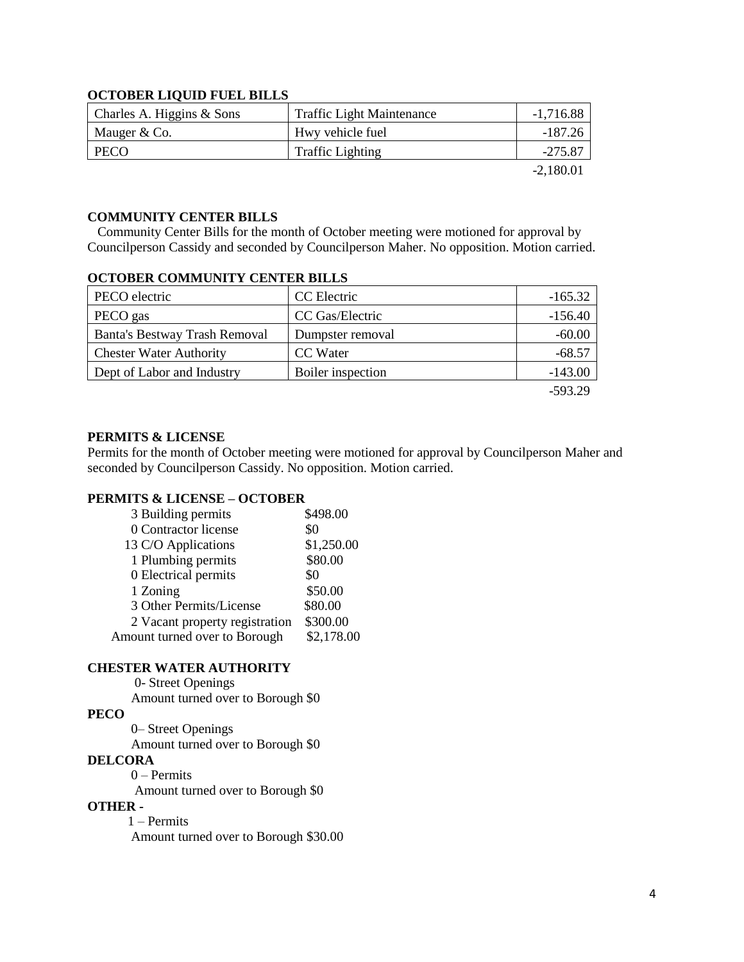## **OCTOBER LIQUID FUEL BILLS**

| Charles A. Higgins & Sons | <b>Traffic Light Maintenance</b> | $-1,716.88$ |
|---------------------------|----------------------------------|-------------|
| Mauger & Co.              | Hwy vehicle fuel                 | -187.26     |
| PECO                      | <b>Traffic Lighting</b>          | $-275.87$   |
|                           |                                  | $-2,180.01$ |

# **COMMUNITY CENTER BILLS**

 Community Center Bills for the month of October meeting were motioned for approval by Councilperson Cassidy and seconded by Councilperson Maher. No opposition. Motion carried.

## **OCTOBER COMMUNITY CENTER BILLS**

| PECO electric                  | CC Electric       | $-165.32$ |
|--------------------------------|-------------------|-----------|
| PECO gas                       | CC Gas/Electric   | $-156.40$ |
| Banta's Bestway Trash Removal  | Dumpster removal  | $-60.00$  |
| <b>Chester Water Authority</b> | CC Water          | $-68.57$  |
| Dept of Labor and Industry     | Boiler inspection | $-143.00$ |
|                                |                   | $-593.29$ |

## **PERMITS & LICENSE**

Permits for the month of October meeting were motioned for approval by Councilperson Maher and seconded by Councilperson Cassidy. No opposition. Motion carried.

## **PERMITS & LICENSE – OCTOBER**

| 3 Building permits             | \$498.00   |
|--------------------------------|------------|
| 0 Contractor license           | \$0        |
| 13 C/O Applications            | \$1,250.00 |
| 1 Plumbing permits             | \$80.00    |
| 0 Electrical permits           | \$0        |
| 1 Zoning                       | \$50.00    |
| 3 Other Permits/License        | \$80.00    |
| 2 Vacant property registration | \$300.00   |
| Amount turned over to Borough  | \$2,178.00 |

## **CHESTER WATER AUTHORITY**

0- Street Openings

Amount turned over to Borough \$0

# **PECO**

0– Street Openings

Amount turned over to Borough \$0

#### **DELCORA**

0 – Permits

Amount turned over to Borough \$0

#### **OTHER -**

1 – Permits Amount turned over to Borough \$30.00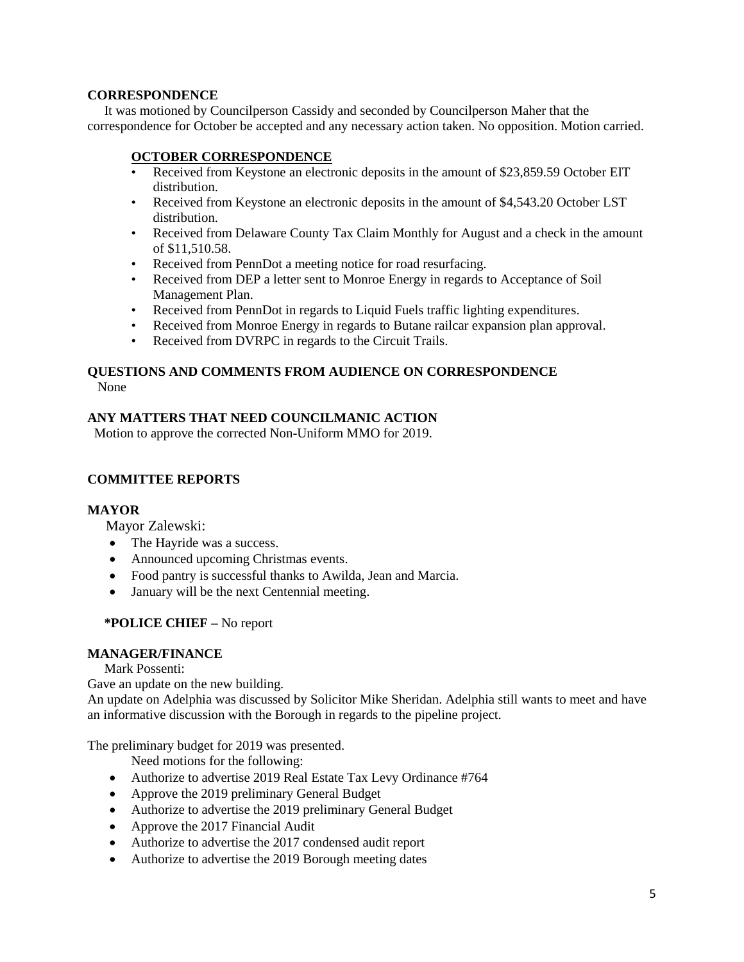## **CORRESPONDENCE**

 It was motioned by Councilperson Cassidy and seconded by Councilperson Maher that the correspondence for October be accepted and any necessary action taken. No opposition. Motion carried.

# **OCTOBER CORRESPONDENCE**

- Received from Keystone an electronic deposits in the amount of \$23,859.59 October EIT distribution.
- Received from Keystone an electronic deposits in the amount of \$4,543.20 October LST distribution.
- Received from Delaware County Tax Claim Monthly for August and a check in the amount of \$11,510.58.
- Received from PennDot a meeting notice for road resurfacing.
- Received from DEP a letter sent to Monroe Energy in regards to Acceptance of Soil Management Plan.
- Received from PennDot in regards to Liquid Fuels traffic lighting expenditures.
- Received from Monroe Energy in regards to Butane railcar expansion plan approval.
- Received from DVRPC in regards to the Circuit Trails.

#### **QUESTIONS AND COMMENTS FROM AUDIENCE ON CORRESPONDENCE** None

# **ANY MATTERS THAT NEED COUNCILMANIC ACTION**

Motion to approve the corrected Non-Uniform MMO for 2019.

# **COMMITTEE REPORTS**

## **MAYOR**

Mayor Zalewski:

- The Hayride was a success.
- Announced upcoming Christmas events.
- Food pantry is successful thanks to Awilda, Jean and Marcia.
- January will be the next Centennial meeting.

## **\*POLICE CHIEF –** No report

## **MANAGER/FINANCE**

Mark Possenti:

Gave an update on the new building.

An update on Adelphia was discussed by Solicitor Mike Sheridan. Adelphia still wants to meet and have an informative discussion with the Borough in regards to the pipeline project.

The preliminary budget for 2019 was presented.

Need motions for the following:

- Authorize to advertise 2019 Real Estate Tax Levy Ordinance #764
- Approve the 2019 preliminary General Budget
- Authorize to advertise the 2019 preliminary General Budget
- Approve the 2017 Financial Audit
- Authorize to advertise the 2017 condensed audit report
- Authorize to advertise the 2019 Borough meeting dates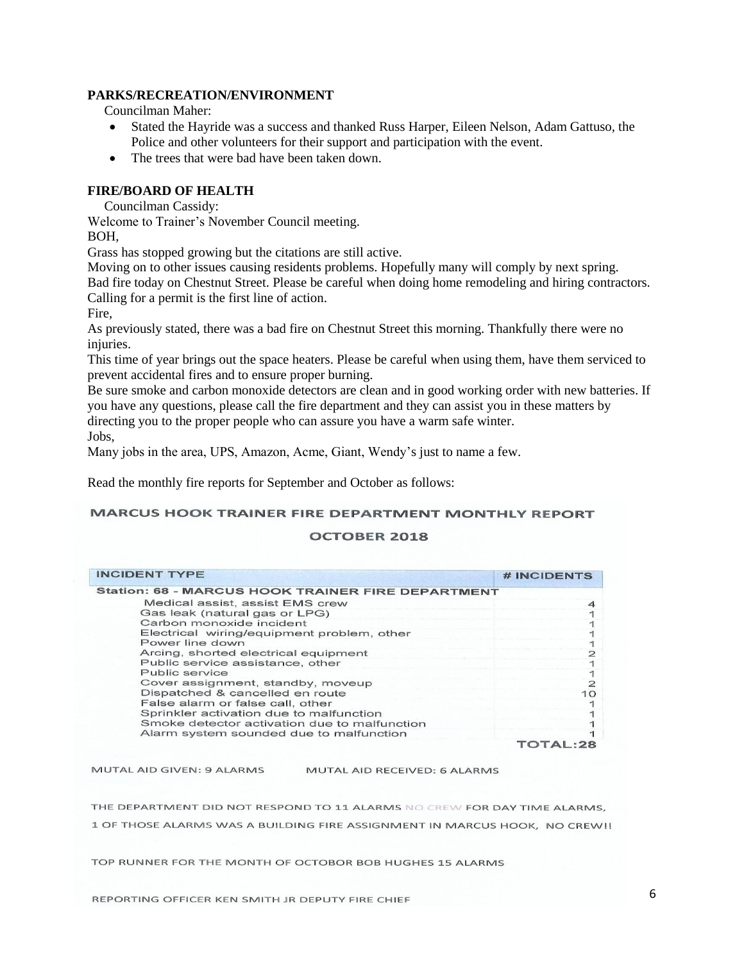## **PARKS/RECREATION/ENVIRONMENT**

Councilman Maher:

- Stated the Hayride was a success and thanked Russ Harper, Eileen Nelson, Adam Gattuso, the Police and other volunteers for their support and participation with the event.
- The trees that were bad have been taken down.

## **FIRE/BOARD OF HEALTH**

Councilman Cassidy:

Welcome to Trainer's November Council meeting.

BOH,

Grass has stopped growing but the citations are still active.

Moving on to other issues causing residents problems. Hopefully many will comply by next spring. Bad fire today on Chestnut Street. Please be careful when doing home remodeling and hiring contractors.

Calling for a permit is the first line of action.

Fire,

As previously stated, there was a bad fire on Chestnut Street this morning. Thankfully there were no injuries.

This time of year brings out the space heaters. Please be careful when using them, have them serviced to prevent accidental fires and to ensure proper burning.

Be sure smoke and carbon monoxide detectors are clean and in good working order with new batteries. If you have any questions, please call the fire department and they can assist you in these matters by directing you to the proper people who can assure you have a warm safe winter. Jobs,

Many jobs in the area, UPS, Amazon, Acme, Giant, Wendy's just to name a few.

Read the monthly fire reports for September and October as follows:

#### **MARCUS HOOK TRAINER FIRE DEPARTMENT MONTHLY REPORT**

#### **OCTOBER 2018**

| <b>INCIDENT TYPE</b>                                     | <b>#INCIDENTS</b> |
|----------------------------------------------------------|-------------------|
| <b>Station: 68 - MARCUS HOOK TRAINER FIRE DEPARTMENT</b> |                   |
| Medical assist, assist EMS crew                          |                   |
| Gas leak (natural gas or LPG)                            |                   |
| Carbon monoxide incident                                 |                   |
| Electrical wiring/equipment problem, other               |                   |
| Power line down                                          |                   |
| Arcing, shorted electrical equipment                     |                   |
| Public service assistance, other                         |                   |
| Public service                                           |                   |
| Cover assignment, standby, moveup                        |                   |
| Dispatched & cancelled en route                          | 10                |
| False alarm or false call, other                         |                   |
| Sprinkler activation due to malfunction                  |                   |
| Smoke detector activation due to malfunction             |                   |
| Alarm system sounded due to malfunction                  |                   |
|                                                          |                   |

MUTAL AID GIVEN: 9 ALARMS

MUTAL AID RECEIVED: 6 ALARMS

THE DEPARTMENT DID NOT RESPOND TO 11 ALARMS NO CREW FOR DAY TIME ALARMS, 1 OF THOSE ALARMS WAS A BUILDING FIRE ASSIGNMENT IN MARCUS HOOK, NO CREW!!

TOP RUNNER FOR THE MONTH OF OCTOBOR BOB HUGHES 15 ALARMS

REPORTING OFFICER KEN SMITH JR DEPUTY FIRE CHIEF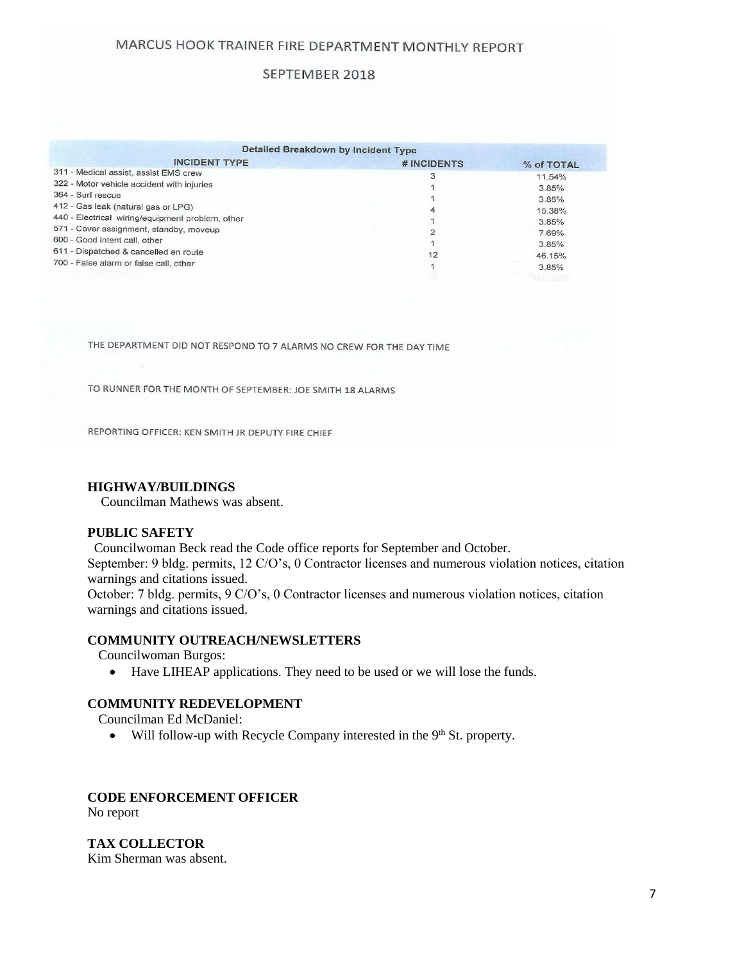# SEPTEMBER 2018

|                                                  | Detailed Breakdown by Incident Type |            |
|--------------------------------------------------|-------------------------------------|------------|
| <b>INCIDENT TYPE</b>                             | # INCIDENTS                         | % of TOTAL |
| 311 - Medical assist, assist EMS crew            |                                     | 11.54%     |
| 322 - Motor vehicle accident with injuries       |                                     | 3.85%      |
| 364 - Surf rescue                                |                                     | 3.85%      |
| 412 - Gas leak (natural gas or LPG)              |                                     | 15.38%     |
| 440 - Electrical wiring/equipment problem, other |                                     | 3.85%      |
| 571 - Cover assignment, standby, moveup          |                                     | 7.69%      |
| 600 - Good intent call, other                    |                                     | 3.85%      |
| 611 - Dispatched & cancelled en route            |                                     | 46.15%     |
| 700 - False alarm or false call, other           |                                     | 3.85%      |
|                                                  |                                     |            |

THE DEPARTMENT DID NOT RESPOND TO 7 ALARMS NO CREW FOR THE DAY TIME

TO RUNNER FOR THE MONTH OF SEPTEMBER: JOE SMITH 18 ALARMS

REPORTING OFFICER: KEN SMITH JR DEPUTY FIRE CHIEF

#### **HIGHWAY/BUILDINGS**

Councilman Mathews was absent.

#### **PUBLIC SAFETY**

 Councilwoman Beck read the Code office reports for September and October. September: 9 bldg. permits, 12 C/O's, 0 Contractor licenses and numerous violation notices, citation warnings and citations issued. October: 7 bldg. permits, 9 C/O's, 0 Contractor licenses and numerous violation notices, citation warnings and citations issued.

#### **COMMUNITY OUTREACH/NEWSLETTERS**

Councilwoman Burgos:

Have LIHEAP applications. They need to be used or we will lose the funds.

## **COMMUNITY REDEVELOPMENT**

Councilman Ed McDaniel:

 $\bullet$  Will follow-up with Recycle Company interested in the 9<sup>th</sup> St. property.

# **CODE ENFORCEMENT OFFICER**

No report

**TAX COLLECTOR**

Kim Sherman was absent.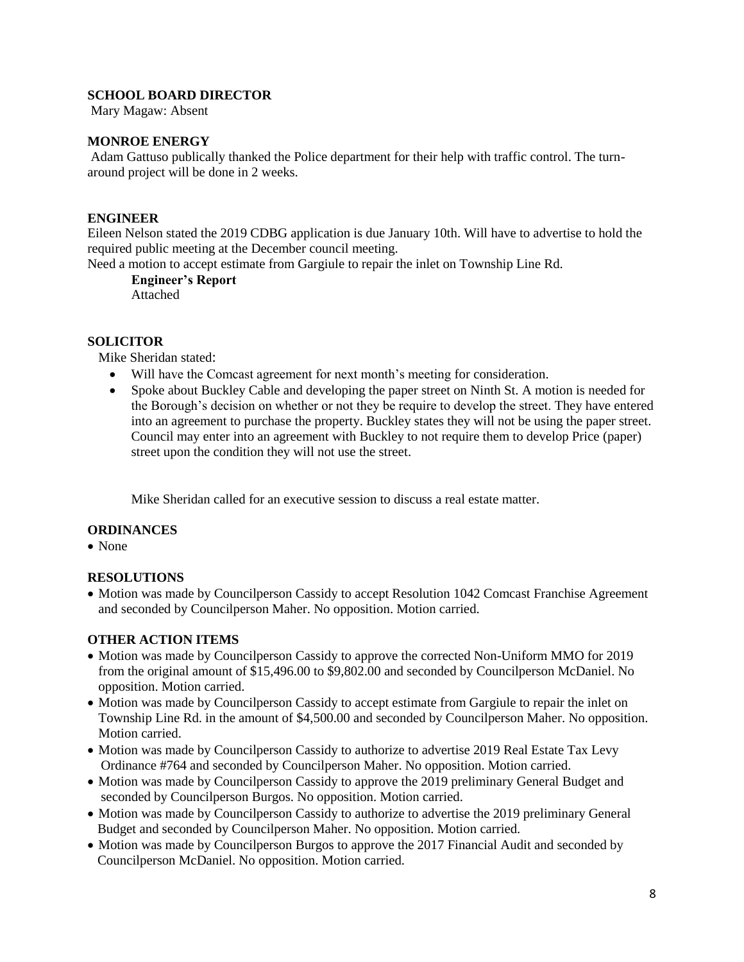## **SCHOOL BOARD DIRECTOR**

Mary Magaw: Absent

## **MONROE ENERGY**

Adam Gattuso publically thanked the Police department for their help with traffic control. The turnaround project will be done in 2 weeks.

## **ENGINEER**

Eileen Nelson stated the 2019 CDBG application is due January 10th. Will have to advertise to hold the required public meeting at the December council meeting.

Need a motion to accept estimate from Gargiule to repair the inlet on Township Line Rd.

**Engineer's Report** Attached

# **SOLICITOR**

Mike Sheridan stated:

- Will have the Comcast agreement for next month's meeting for consideration.
- Spoke about Buckley Cable and developing the paper street on Ninth St. A motion is needed for the Borough's decision on whether or not they be require to develop the street. They have entered into an agreement to purchase the property. Buckley states they will not be using the paper street. Council may enter into an agreement with Buckley to not require them to develop Price (paper) street upon the condition they will not use the street.

Mike Sheridan called for an executive session to discuss a real estate matter.

## **ORDINANCES**

• None

# **RESOLUTIONS**

• Motion was made by Councilperson Cassidy to accept Resolution 1042 Comcast Franchise Agreement and seconded by Councilperson Maher. No opposition. Motion carried.

# **OTHER ACTION ITEMS**

- Motion was made by Councilperson Cassidy to approve the corrected Non-Uniform MMO for 2019 from the original amount of \$15,496.00 to \$9,802.00 and seconded by Councilperson McDaniel. No opposition. Motion carried.
- Motion was made by Councilperson Cassidy to accept estimate from Gargiule to repair the inlet on Township Line Rd. in the amount of \$4,500.00 and seconded by Councilperson Maher. No opposition. Motion carried.
- Motion was made by Councilperson Cassidy to authorize to advertise 2019 Real Estate Tax Levy Ordinance #764 and seconded by Councilperson Maher. No opposition. Motion carried.
- Motion was made by Councilperson Cassidy to approve the 2019 preliminary General Budget and seconded by Councilperson Burgos. No opposition. Motion carried.
- Motion was made by Councilperson Cassidy to authorize to advertise the 2019 preliminary General Budget and seconded by Councilperson Maher. No opposition. Motion carried.
- Motion was made by Councilperson Burgos to approve the 2017 Financial Audit and seconded by Councilperson McDaniel. No opposition. Motion carried.